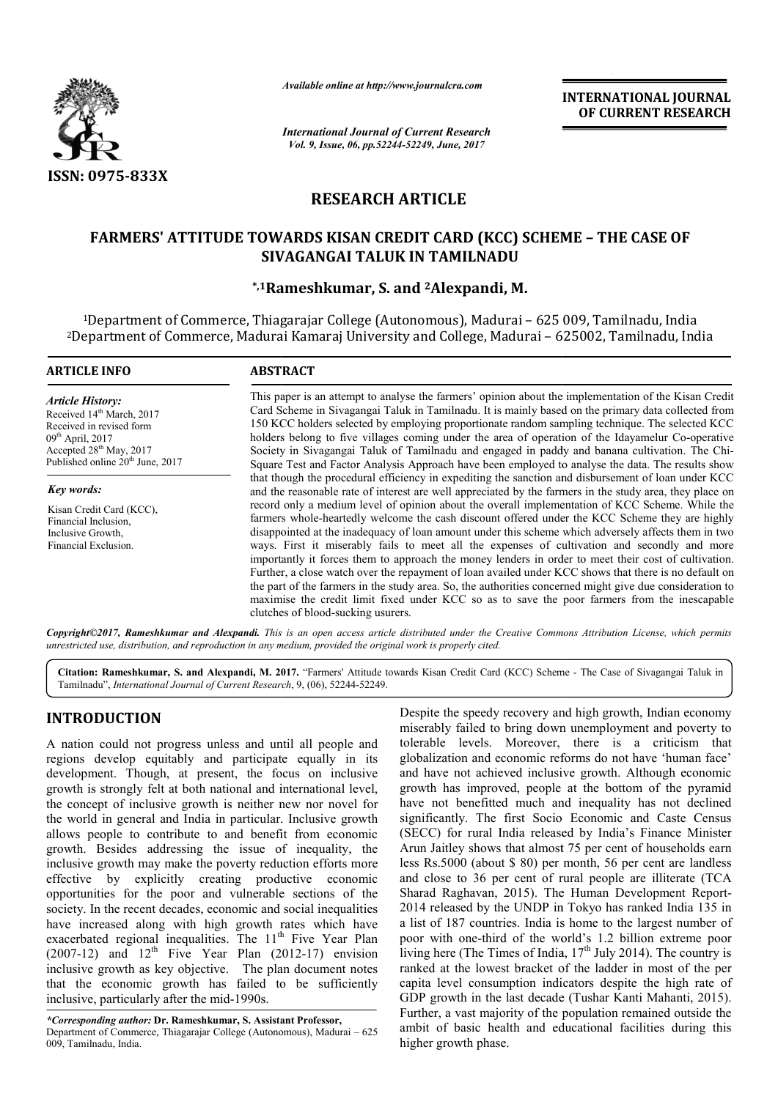

*Available online at http://www.journalcra.com*

*International Journal of Current Research Vol. 9, Issue, 06, pp.52244-52249, June, 2017*

**INTERNATIONAL JOURNAL OF CURRENT RESEARCH** 

# **RESEARCH ARTICLE**

## **FARMERS' ATTITUDE TOWARDS KISAN CREDIT CARD (KCC) SCHEME – THE CASE OF SIVAGANGAI TALUK IN TAMILNADU**

## **\*,1Rameshkumar, S. and Rameshkumar, 2Alexpandi, M.**

1Department of Commerce, Thiagarajar College (Autonomous), Madurai – 625 009, Tamilnadu, India <sup>2</sup>Department of Commerce, Madurai Kamaraj University and College, Madurai - 625002, Tamilnadu, India

| <b>ARTICLE INFO</b>                                                                                                                                                                                       | <b>ABSTRACT</b>                                                                                                                                                                                                                                                                                                                                                                                                                                                                                                                                                                                                                                                                                                                                                                                                                                                              |
|-----------------------------------------------------------------------------------------------------------------------------------------------------------------------------------------------------------|------------------------------------------------------------------------------------------------------------------------------------------------------------------------------------------------------------------------------------------------------------------------------------------------------------------------------------------------------------------------------------------------------------------------------------------------------------------------------------------------------------------------------------------------------------------------------------------------------------------------------------------------------------------------------------------------------------------------------------------------------------------------------------------------------------------------------------------------------------------------------|
| <b>Article History:</b><br>Received 14 <sup>th</sup> March, 2017<br>Received in revised form<br>$09th$ April, 2017<br>Accepted 28 <sup>th</sup> May, 2017<br>Published online 20 <sup>th</sup> June, 2017 | This paper is an attempt to analyse the farmers' opinion about the implementation of the Kisan Credit<br>Card Scheme in Sivagangai Taluk in Tamilnadu. It is mainly based on the primary data collected from<br>150 KCC holders selected by employing proportionate random sampling technique. The selected KCC<br>holders belong to five villages coming under the area of operation of the Idayamelur Co-operative<br>Society in Sivagangai Taluk of Tamilnadu and engaged in paddy and banana cultivation. The Chi-<br>Square Test and Factor Analysis Approach have been employed to analyse the data. The results show                                                                                                                                                                                                                                                  |
| <b>Key words:</b>                                                                                                                                                                                         | that though the procedural efficiency in expediting the sanction and disbursement of loan under KCC<br>and the reasonable rate of interest are well appreciated by the farmers in the study area, they place on                                                                                                                                                                                                                                                                                                                                                                                                                                                                                                                                                                                                                                                              |
| Kisan Credit Card (KCC),<br>Financial Inclusion,<br>Inclusive Growth,<br>Financial Exclusion.                                                                                                             | record only a medium level of opinion about the overall implementation of KCC Scheme. While the<br>farmers whole-heartedly welcome the cash discount offered under the KCC Scheme they are highly<br>disappointed at the inadequacy of loan amount under this scheme which adversely affects them in two<br>ways. First it miserably fails to meet all the expenses of cultivation and secondly and more<br>importantly it forces them to approach the money lenders in order to meet their cost of cultivation.<br>Further, a close watch over the repayment of loan availed under KCC shows that there is no default on<br>the part of the farmers in the study area. So, the authorities concerned might give due consideration to<br>maximise the credit limit fixed under KCC so as to save the poor farmers from the inescapable<br>clutches of blood-sucking usurers. |

*Copyright©2017, Rameshkumar and Alexpandi. This is an open access article distributed under the Creative Commons Att Attribution License, which permits unrestricted use, distribution, and reproduction in any medium, provided the original work is properly cited.*

Citation: Rameshkumar, S. and Alexpandi, M. 2017. "Farmers' Attitude towards Kisan Credit Card (KCC) Scheme - The Case of Sivagangai Taluk in Tamilnadu", *International Journal of Current Research* , 9, (06), 52244-52249.

# **INTRODUCTION**

A nation could not progress unless and until all people and regions develop equitably and participate equally in its development. Though, at present, the focus on inclusive growth is strongly felt at both national and international level, the concept of inclusive growth is neither new nor novel for the world in general and India in particular. Inclusive growth allows people to contribute to and benefit from economic growth. Besides addressing the issue of inequality, the inclusive growth may make the poverty reduction efforts more effective by explicitly creating productive economic opportunities for the poor and vulnerable sections of the society. In the recent decades, economic and social inequalities have increased along with high growth rates which have exacerbated regional inequalities. The 11<sup>th</sup> Five Year Plan  $(2007-12)$  and  $12<sup>th</sup>$  Five Year Plan  $(2012-17)$  envision inclusive growth as key objective. The plan document notes that the economic growth has failed to be sufficiently inclusive, particularly after the mid-1990s. ple to contribute to and benefit from economic<br>esides addressing the issue of inequality, the<br>cowth may make the poverty reduction efforts more<br>by explicitly creating productive economic<br>es for the poor and vulnerable sect

*\*Corresponding author:* **Dr. Rameshkumar, S. Assistant Pro Professor,** Department of Commerce, Thiagarajar College (Autonomous), Madurai – 625 009, Tamilnadu, India.

Despite the speedy recovery and high growth, Indian economy miserably failed to bring down unemployment and poverty to tolerable levels. Moreover, there is a criticism that miserably failed to bring down unemployment and poverty to tolerable levels. Moreover, there is a criticism that globalization and economic reforms do not have 'human face' and have not achieved inclusive growth. Although economic growth has improved, people at the bottom of the pyramid have not benefitted much and inequality has not declined significantly. The first Socio Economic and Caste Census (SECC) for rural India released by India's Finance Minister Arun Jaitley shows that almost 75 per cent of households earn less Rs.5000 (about \$ 80) per month, 56 per cent are landless and close to 36 per cent of rural people are illiterate (TCA Sharad Raghavan, 2015). The Human Development Report 2014 released by the UNDP in Tokyo has ranked India 135 in a list of 187 countries. India is home to the largest number of 2014 released by the UNDP in Tokyo has ranked India 135 in a list of 187 countries. India is home to the largest number of poor with one-third of the world's 1.2 billion extreme poor living here (The Times of India, 17<sup>th</sup> July 2014). The country is ranked at the lowest bracket of the ladder in most of the per capita level consumption indicators despite the high rate of ranked at the lowest bracket of the ladder in most of the per capita level consumption indicators despite the high rate of GDP growth in the last decade (Tushar Kanti Mahanti, 2015). Further, a vast majority of the population remained outside the ambit of basic health and educational facilities during this higher growth phase. alization and economic reforms do not have 'human face'<br>have not achieved inclusive growth. Although economic<br>th has improved, people at the bottom of the pyramid<br>not benefitted much and inequality has not declined significantly. The first Socio Economic and Caste Census<br>(SECC) for rural India released by India's Finance Minister<br>Arun Jaitley shows that almost 75 per cent of households earn<br>less Rs.5000 (about \$ 80) per month, 56 per **EXECUTE THE SECT CONTROVIMENT (SECT CONTROVIMENT (SET A THE TRANSFORM CONTROVIMENT CONTROVIMENT CONTROVIMENT CONTROVIMENT CONTROVIMENT CONTROVIMENT CONTROVIMENT CONTROVIMENT CONTROVIMENT CONTROVIMENT CONTROVIMENT CONTROV**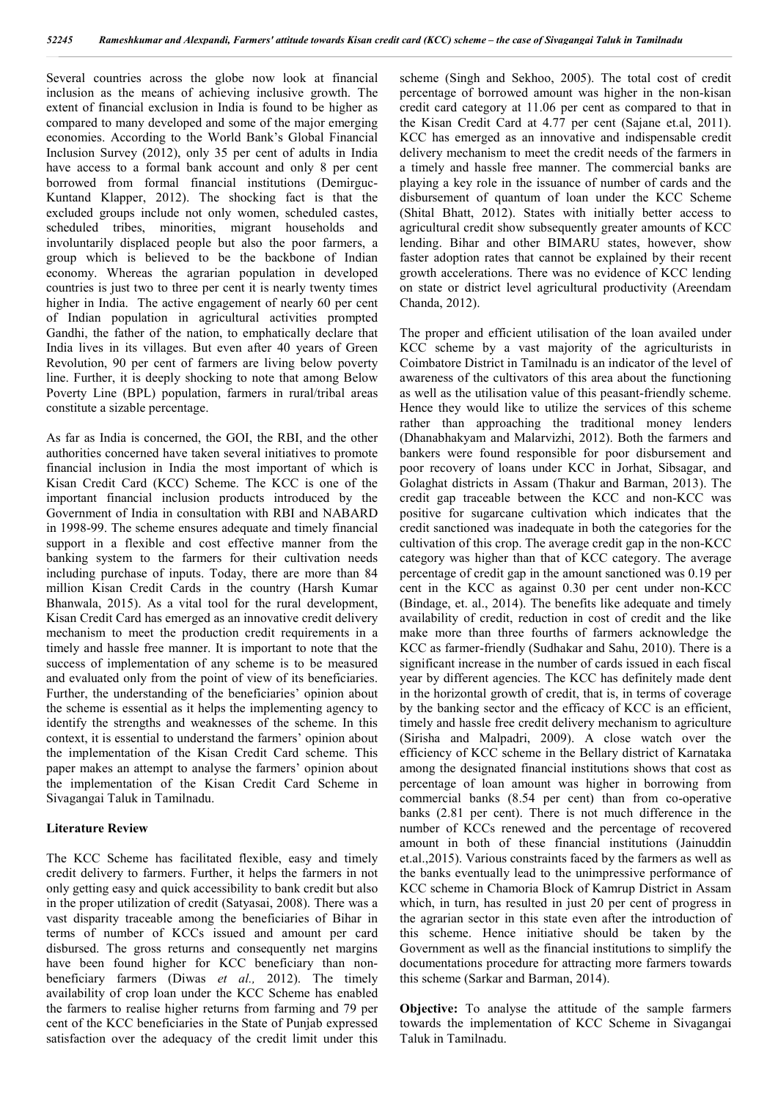Several countries across the globe now look at financial inclusion as the means of achieving inclusive growth. The extent of financial exclusion in India is found to be higher as compared to many developed and some of the major emerging economies. According to the World Bank's Global Financial Inclusion Survey (2012), only 35 per cent of adults in India have access to a formal bank account and only 8 per cent borrowed from formal financial institutions (Demirguc-Kuntand Klapper, 2012). The shocking fact is that the excluded groups include not only women, scheduled castes, scheduled tribes, minorities, migrant households and involuntarily displaced people but also the poor farmers, a group which is believed to be the backbone of Indian economy. Whereas the agrarian population in developed countries is just two to three per cent it is nearly twenty times higher in India. The active engagement of nearly 60 per cent of Indian population in agricultural activities prompted Gandhi, the father of the nation, to emphatically declare that India lives in its villages. But even after 40 years of Green Revolution, 90 per cent of farmers are living below poverty line. Further, it is deeply shocking to note that among Below Poverty Line (BPL) population, farmers in rural/tribal areas constitute a sizable percentage.

As far as India is concerned, the GOI, the RBI, and the other authorities concerned have taken several initiatives to promote financial inclusion in India the most important of which is Kisan Credit Card (KCC) Scheme. The KCC is one of the important financial inclusion products introduced by the Government of India in consultation with RBI and NABARD in 1998-99. The scheme ensures adequate and timely financial support in a flexible and cost effective manner from the banking system to the farmers for their cultivation needs including purchase of inputs. Today, there are more than 84 million Kisan Credit Cards in the country (Harsh Kumar Bhanwala, 2015). As a vital tool for the rural development, Kisan Credit Card has emerged as an innovative credit delivery mechanism to meet the production credit requirements in a timely and hassle free manner. It is important to note that the success of implementation of any scheme is to be measured and evaluated only from the point of view of its beneficiaries. Further, the understanding of the beneficiaries' opinion about the scheme is essential as it helps the implementing agency to identify the strengths and weaknesses of the scheme. In this context, it is essential to understand the farmers' opinion about the implementation of the Kisan Credit Card scheme. This paper makes an attempt to analyse the farmers' opinion about the implementation of the Kisan Credit Card Scheme in Sivagangai Taluk in Tamilnadu.

### **Literature Review**

The KCC Scheme has facilitated flexible, easy and timely credit delivery to farmers. Further, it helps the farmers in not only getting easy and quick accessibility to bank credit but also in the proper utilization of credit (Satyasai, 2008). There was a vast disparity traceable among the beneficiaries of Bihar in terms of number of KCCs issued and amount per card disbursed. The gross returns and consequently net margins have been found higher for KCC beneficiary than nonbeneficiary farmers (Diwas *et al.,* 2012). The timely availability of crop loan under the KCC Scheme has enabled the farmers to realise higher returns from farming and 79 per cent of the KCC beneficiaries in the State of Punjab expressed satisfaction over the adequacy of the credit limit under this

scheme (Singh and Sekhoo, 2005). The total cost of credit percentage of borrowed amount was higher in the non-kisan credit card category at 11.06 per cent as compared to that in the Kisan Credit Card at 4.77 per cent (Sajane et.al, 2011). KCC has emerged as an innovative and indispensable credit delivery mechanism to meet the credit needs of the farmers in a timely and hassle free manner. The commercial banks are playing a key role in the issuance of number of cards and the disbursement of quantum of loan under the KCC Scheme (Shital Bhatt, 2012). States with initially better access to agricultural credit show subsequently greater amounts of KCC lending. Bihar and other BIMARU states, however, show faster adoption rates that cannot be explained by their recent growth accelerations. There was no evidence of KCC lending on state or district level agricultural productivity (Areendam Chanda, 2012).

The proper and efficient utilisation of the loan availed under KCC scheme by a vast majority of the agriculturists in Coimbatore District in Tamilnadu is an indicator of the level of awareness of the cultivators of this area about the functioning as well as the utilisation value of this peasant-friendly scheme. Hence they would like to utilize the services of this scheme rather than approaching the traditional money lenders (Dhanabhakyam and Malarvizhi, 2012). Both the farmers and bankers were found responsible for poor disbursement and poor recovery of loans under KCC in Jorhat, Sibsagar, and Golaghat districts in Assam (Thakur and Barman, 2013). The credit gap traceable between the KCC and non-KCC was positive for sugarcane cultivation which indicates that the credit sanctioned was inadequate in both the categories for the cultivation of this crop. The average credit gap in the non-KCC category was higher than that of KCC category. The average percentage of credit gap in the amount sanctioned was 0.19 per cent in the KCC as against 0.30 per cent under non-KCC (Bindage, et. al., 2014). The benefits like adequate and timely availability of credit, reduction in cost of credit and the like make more than three fourths of farmers acknowledge the KCC as farmer-friendly (Sudhakar and Sahu, 2010). There is a significant increase in the number of cards issued in each fiscal year by different agencies. The KCC has definitely made dent in the horizontal growth of credit, that is, in terms of coverage by the banking sector and the efficacy of KCC is an efficient, timely and hassle free credit delivery mechanism to agriculture (Sirisha and Malpadri, 2009). A close watch over the efficiency of KCC scheme in the Bellary district of Karnataka among the designated financial institutions shows that cost as percentage of loan amount was higher in borrowing from commercial banks (8.54 per cent) than from co-operative banks (2.81 per cent). There is not much difference in the number of KCCs renewed and the percentage of recovered amount in both of these financial institutions (Jainuddin et.al.,2015). Various constraints faced by the farmers as well as the banks eventually lead to the unimpressive performance of KCC scheme in Chamoria Block of Kamrup District in Assam which, in turn, has resulted in just 20 per cent of progress in the agrarian sector in this state even after the introduction of this scheme. Hence initiative should be taken by the Government as well as the financial institutions to simplify the documentations procedure for attracting more farmers towards this scheme (Sarkar and Barman, 2014).

**Objective:** To analyse the attitude of the sample farmers towards the implementation of KCC Scheme in Sivagangai Taluk in Tamilnadu.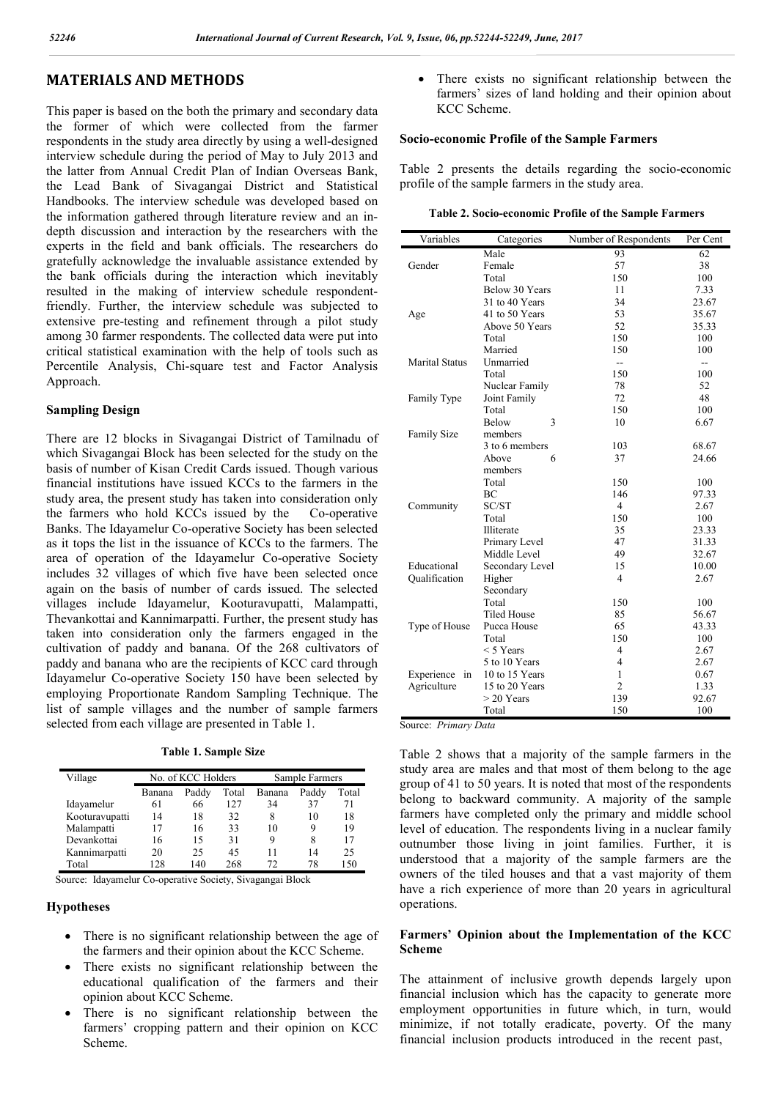## **MATERIALS AND METHODS**

This paper is based on the both the primary and secondary data the former of which were collected from the farmer respondents in the study area directly by using a well-designed interview schedule during the period of May to July 2013 and the latter from Annual Credit Plan of Indian Overseas Bank, the Lead Bank of Sivagangai District and Statistical Handbooks. The interview schedule was developed based on the information gathered through literature review and an indepth discussion and interaction by the researchers with the experts in the field and bank officials. The researchers do gratefully acknowledge the invaluable assistance extended by the bank officials during the interaction which inevitably resulted in the making of interview schedule respondentfriendly. Further, the interview schedule was subjected to extensive pre-testing and refinement through a pilot study among 30 farmer respondents. The collected data were put into critical statistical examination with the help of tools such as Percentile Analysis, Chi-square test and Factor Analysis Approach.

### **Sampling Design**

There are 12 blocks in Sivagangai District of Tamilnadu of which Sivagangai Block has been selected for the study on the basis of number of Kisan Credit Cards issued. Though various financial institutions have issued KCCs to the farmers in the study area, the present study has taken into consideration only the farmers who hold KCCs issued by the Co-operative Banks. The Idayamelur Co-operative Society has been selected as it tops the list in the issuance of KCCs to the farmers. The area of operation of the Idayamelur Co-operative Society includes 32 villages of which five have been selected once again on the basis of number of cards issued. The selected villages include Idayamelur, Kooturavupatti, Malampatti, Thevankottai and Kannimarpatti. Further, the present study has taken into consideration only the farmers engaged in the cultivation of paddy and banana. Of the 268 cultivators of paddy and banana who are the recipients of KCC card through Idayamelur Co-operative Society 150 have been selected by employing Proportionate Random Sampling Technique. The list of sample villages and the number of sample farmers selected from each village are presented in Table 1.

**Table 1. Sample Size**

| Village        | No. of KCC Holders |       | Sample Farmers |        |       |       |
|----------------|--------------------|-------|----------------|--------|-------|-------|
|                | Banana             | Paddy | Total          | Banana | Paddy | Total |
| Idayamelur     | 61                 | 66    | 127            | 34     | 37    | 71    |
| Kooturavupatti | 14                 | 18    | 32             | 8      | 10    | 18    |
| Malampatti     | 17                 | 16    | 33             | 10     | 9     | 19    |
| Devankottai    | 16                 | 15    | 31             | 9      | 8     | 17    |
| Kannimarpatti  | 20                 | 25    | 45             | 11     | 14    | 25    |
| Total          | 128                | 140   | 268            | 72     | 78    | 150   |

Source: Idayamelur Co-operative Society, Sivagangai Block

### **Hypotheses**

- There is no significant relationship between the age of the farmers and their opinion about the KCC Scheme.
- There exists no significant relationship between the educational qualification of the farmers and their opinion about KCC Scheme.
- There is no significant relationship between the farmers' cropping pattern and their opinion on KCC Scheme.

 There exists no significant relationship between the farmers' sizes of land holding and their opinion about KCC Scheme.

### **Socio-economic Profile of the Sample Farmers**

Table 2 presents the details regarding the socio-economic profile of the sample farmers in the study area.

| Table 2. Socio-economic Profile of the Sample Farmers |  |  |  |
|-------------------------------------------------------|--|--|--|
|-------------------------------------------------------|--|--|--|

| Variables                          | Categories              | Number of Respondents    | Per Cent       |
|------------------------------------|-------------------------|--------------------------|----------------|
|                                    | Male                    | 93                       | 62             |
| Gender                             | Female                  | 57                       | 38             |
|                                    | Total                   | 150                      | 100            |
|                                    | Below 30 Years          | 11                       | 7.33           |
|                                    | 31 to 40 Years          | 34                       | 23.67          |
| Age                                | 41 to 50 Years          | 53                       | 35.67          |
|                                    | Above 50 Years          | 52                       | 35.33          |
|                                    | Total                   | 150                      | 100            |
|                                    | Married                 | 150                      | 100            |
| <b>Marital Status</b>              | Unmarried               | $\overline{\phantom{a}}$ | $\overline{a}$ |
|                                    | Total                   | 150                      | 100            |
|                                    | Nuclear Family          | 78                       | 52             |
| Family Type                        | Joint Family            | 72                       | 48             |
|                                    | Total                   | 150                      | 100            |
|                                    | Below<br>3              | 10                       | 6.67           |
| <b>Family Size</b>                 | members                 |                          |                |
|                                    | 3 to 6 members          | 103                      | 68.67          |
|                                    | Above<br>6              | 37                       | 24.66          |
|                                    | members                 |                          |                |
|                                    | Total                   | 150                      | 100            |
|                                    | BC                      | 146                      | 97.33          |
| Community                          | SC/ST                   | $\overline{4}$           | 2.67           |
|                                    | Total                   | 150                      | 100            |
|                                    | Illiterate              | 35                       | 23.33          |
|                                    | Primary Level           | 47                       | 31.33          |
|                                    | Middle Level            | 49                       | 32.67          |
| Educational                        | Secondary Level         | 15                       | 10.00          |
| Oualification                      | Higher                  | 4                        | 2.67           |
|                                    | Secondary               |                          |                |
|                                    | Total                   | 150                      | 100            |
|                                    | <b>Tiled House</b>      | 85                       | 56.67          |
| Type of House                      | Pucca House             | 65                       | 43.33          |
|                                    | Total                   | 150                      | 100            |
|                                    | $<$ 5 Years             | 4                        | 2.67           |
|                                    | 5 to 10 Years           | $\overline{\mathcal{L}}$ | 2.67           |
| Experience<br>10 to 15 Years<br>in |                         | 1                        | 0.67           |
| Agriculture                        | 15 to 20 Years          | $\overline{2}$           | 1.33           |
|                                    | $> 20$ Years            | 139                      | 92.67          |
|                                    | Total                   | 150                      | 100            |
| $D_{\text{min}}$                   | $\Gamma$ <sub>ata</sub> |                          |                |

Source: *Primary Data*

Table 2 shows that a majority of the sample farmers in the study area are males and that most of them belong to the age group of 41 to 50 years. It is noted that most of the respondents belong to backward community. A majority of the sample farmers have completed only the primary and middle school level of education. The respondents living in a nuclear family outnumber those living in joint families. Further, it is understood that a majority of the sample farmers are the owners of the tiled houses and that a vast majority of them have a rich experience of more than 20 years in agricultural operations.

### **Farmers' Opinion about the Implementation of the KCC Scheme**

The attainment of inclusive growth depends largely upon financial inclusion which has the capacity to generate more employment opportunities in future which, in turn, would minimize, if not totally eradicate, poverty. Of the many financial inclusion products introduced in the recent past,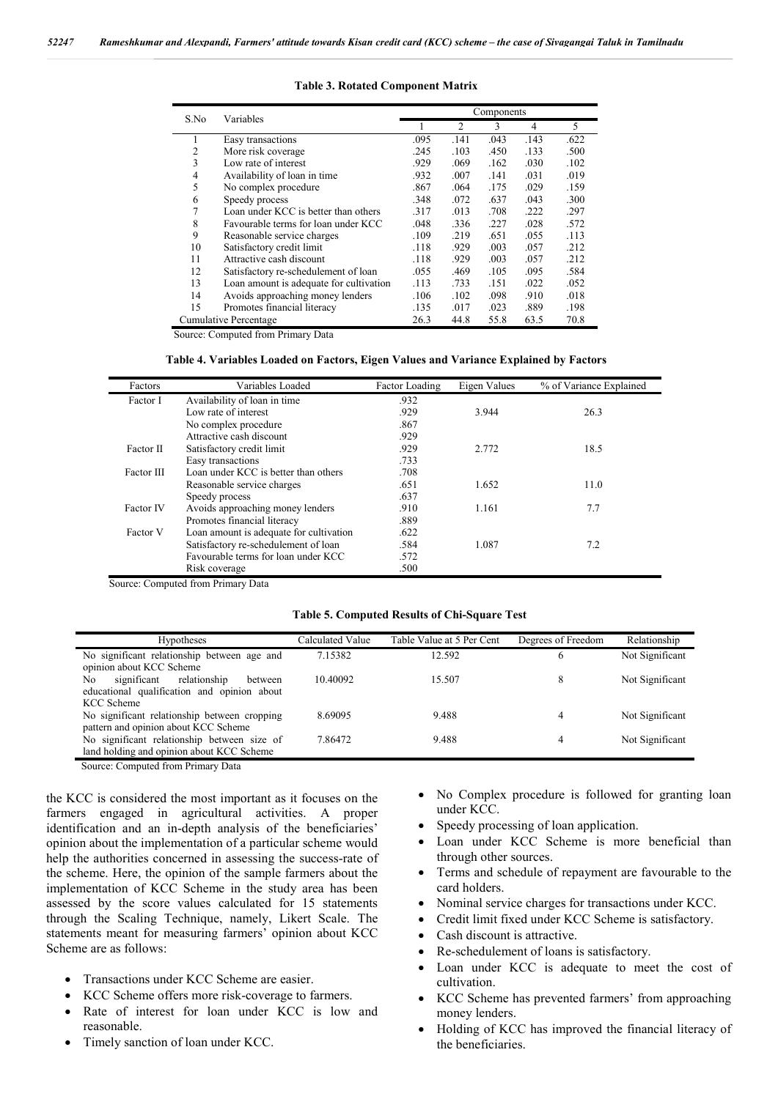| S.No                  | Variables                               | Components |      |      |      |      |
|-----------------------|-----------------------------------------|------------|------|------|------|------|
|                       |                                         |            | 2    | 3    | 4    | 5    |
|                       | Easy transactions                       | .095       | .141 | .043 | .143 | .622 |
| 2                     | More risk coverage                      | .245       | .103 | .450 | .133 | .500 |
| 3                     | Low rate of interest                    | .929       | .069 | .162 | .030 | .102 |
| 4                     | Availability of loan in time            | .932       | .007 | .141 | .031 | .019 |
| 5                     | No complex procedure                    | .867       | .064 | .175 | .029 | .159 |
| 6                     | Speedy process                          | .348       | .072 | .637 | .043 | .300 |
|                       | Loan under KCC is better than others    | .317       | .013 | .708 | .222 | .297 |
| 8                     | Favourable terms for loan under KCC     | .048       | .336 | .227 | .028 | .572 |
| 9                     | Reasonable service charges              | .109       | .219 | .651 | .055 | .113 |
| 10                    | Satisfactory credit limit               | .118       | .929 | .003 | .057 | .212 |
| 11                    | Attractive cash discount                | .118       | .929 | .003 | .057 | .212 |
| 12                    | Satisfactory re-schedulement of loan    | .055       | .469 | .105 | .095 | .584 |
| 13                    | Loan amount is adequate for cultivation | .113       | .733 | .151 | .022 | .052 |
| 14                    | Avoids approaching money lenders        | .106       | .102 | .098 | .910 | .018 |
| 15                    | Promotes financial literacy             | .135       | .017 | .023 | .889 | .198 |
| Cumulative Percentage |                                         | 26.3       | 44.8 | 55.8 | 63.5 | 70.8 |

#### **Table 3. Rotated Component Matrix**

Source: Computed from Primary Data

| Factors          | Variables Loaded                        | Factor Loading | Eigen Values | % of Variance Explained |
|------------------|-----------------------------------------|----------------|--------------|-------------------------|
| Factor I         | Availability of loan in time            | .932           |              |                         |
|                  | Low rate of interest                    | .929           | 3.944        | 26.3                    |
|                  | No complex procedure                    | .867           |              |                         |
|                  | Attractive cash discount                | .929           |              |                         |
| Factor II        | Satisfactory credit limit               | .929           | 2.772        | 18.5                    |
|                  | Easy transactions                       | .733           |              |                         |
| Factor III       | Loan under KCC is better than others    | .708           |              |                         |
|                  | Reasonable service charges              | .651           | 1.652        | 11.0                    |
|                  | Speedy process                          | .637           |              |                         |
| <b>Factor IV</b> | Avoids approaching money lenders        | .910           | 1.161        | 7.7                     |
|                  | Promotes financial literacy             | .889           |              |                         |
| Factor V         | Loan amount is adequate for cultivation | .622           |              |                         |
|                  | Satisfactory re-schedulement of loan    | .584           | 1.087        | 7.2                     |
|                  | Favourable terms for loan under KCC     | .572           |              |                         |
|                  | Risk coverage                           | .500           |              |                         |

Source: Computed from Primary Data

#### **Table 5. Computed Results of Chi-Square Test**

| <b>Hypotheses</b>                                                                            | Calculated Value | Table Value at 5 Per Cent | Degrees of Freedom | Relationship    |
|----------------------------------------------------------------------------------------------|------------------|---------------------------|--------------------|-----------------|
| No significant relationship between age and<br>opinion about KCC Scheme                      | 7.15382          | 12.592                    | 6                  | Not Significant |
| significant<br>relationship<br>No.<br>between<br>educational qualification and opinion about | 10.40092         | 15.507                    | 8                  | Not Significant |
| KCC Scheme                                                                                   |                  |                           |                    |                 |
| No significant relationship between cropping                                                 | 8.69095          | 9.488                     | 4                  | Not Significant |
| pattern and opinion about KCC Scheme                                                         |                  |                           |                    |                 |
| No significant relationship between size of                                                  | 7.86472          | 9.488                     | 4                  | Not Significant |
| land holding and opinion about KCC Scheme                                                    |                  |                           |                    |                 |
|                                                                                              |                  |                           |                    |                 |

Source: Computed from Primary Data

the KCC is considered the most important as it focuses on the farmers engaged in agricultural activities. A proper identification and an in-depth analysis of the beneficiaries' opinion about the implementation of a particular scheme would help the authorities concerned in assessing the success-rate of the scheme. Here, the opinion of the sample farmers about the implementation of KCC Scheme in the study area has been assessed by the score values calculated for 15 statements through the Scaling Technique, namely, Likert Scale. The statements meant for measuring farmers' opinion about KCC Scheme are as follows:

- Transactions under KCC Scheme are easier.
- KCC Scheme offers more risk-coverage to farmers.
- Rate of interest for loan under KCC is low and reasonable.
- Timely sanction of loan under KCC.
- No Complex procedure is followed for granting loan under KCC.
- Speedy processing of loan application.
- Loan under KCC Scheme is more beneficial than through other sources.
- Terms and schedule of repayment are favourable to the card holders.
- Nominal service charges for transactions under KCC.
- Credit limit fixed under KCC Scheme is satisfactory.
- Cash discount is attractive.
- Re-schedulement of loans is satisfactory.
- Loan under KCC is adequate to meet the cost of cultivation.
- KCC Scheme has prevented farmers' from approaching money lenders.
- Holding of KCC has improved the financial literacy of the beneficiaries.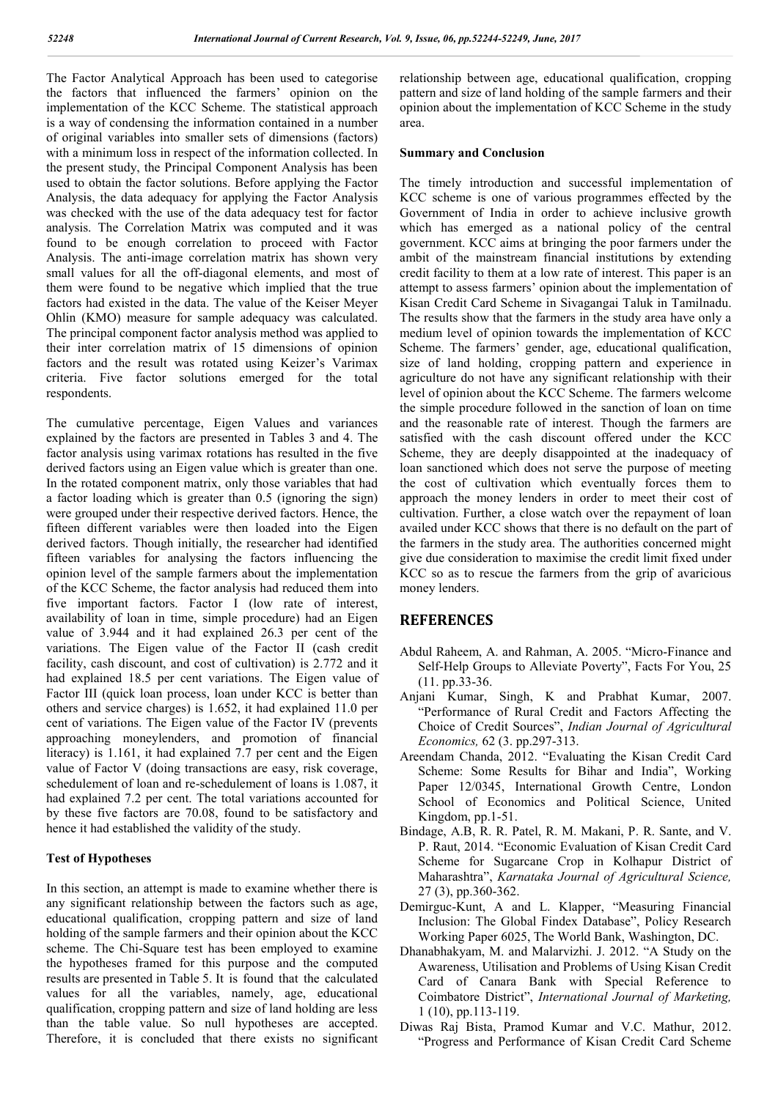The Factor Analytical Approach has been used to categorise the factors that influenced the farmers' opinion on the implementation of the KCC Scheme. The statistical approach is a way of condensing the information contained in a number of original variables into smaller sets of dimensions (factors) with a minimum loss in respect of the information collected. In the present study, the Principal Component Analysis has been used to obtain the factor solutions. Before applying the Factor Analysis, the data adequacy for applying the Factor Analysis was checked with the use of the data adequacy test for factor analysis. The Correlation Matrix was computed and it was found to be enough correlation to proceed with Factor Analysis. The anti-image correlation matrix has shown very small values for all the off-diagonal elements, and most of them were found to be negative which implied that the true factors had existed in the data. The value of the Keiser Meyer Ohlin (KMO) measure for sample adequacy was calculated. The principal component factor analysis method was applied to their inter correlation matrix of 15 dimensions of opinion factors and the result was rotated using Keizer's Varimax criteria. Five factor solutions emerged for the total respondents.

The cumulative percentage, Eigen Values and variances explained by the factors are presented in Tables 3 and 4. The factor analysis using varimax rotations has resulted in the five derived factors using an Eigen value which is greater than one. In the rotated component matrix, only those variables that had a factor loading which is greater than 0.5 (ignoring the sign) were grouped under their respective derived factors. Hence, the fifteen different variables were then loaded into the Eigen derived factors. Though initially, the researcher had identified fifteen variables for analysing the factors influencing the opinion level of the sample farmers about the implementation of the KCC Scheme, the factor analysis had reduced them into five important factors. Factor I (low rate of interest, availability of loan in time, simple procedure) had an Eigen value of 3.944 and it had explained 26.3 per cent of the variations. The Eigen value of the Factor II (cash credit facility, cash discount, and cost of cultivation) is 2.772 and it had explained 18.5 per cent variations. The Eigen value of Factor III (quick loan process, loan under KCC is better than others and service charges) is 1.652, it had explained 11.0 per cent of variations. The Eigen value of the Factor IV (prevents approaching moneylenders, and promotion of financial literacy) is 1.161, it had explained 7.7 per cent and the Eigen value of Factor V (doing transactions are easy, risk coverage, schedulement of loan and re-schedulement of loans is 1.087, it had explained 7.2 per cent. The total variations accounted for by these five factors are 70.08, found to be satisfactory and hence it had established the validity of the study.

### **Test of Hypotheses**

In this section, an attempt is made to examine whether there is any significant relationship between the factors such as age, educational qualification, cropping pattern and size of land holding of the sample farmers and their opinion about the KCC scheme. The Chi-Square test has been employed to examine the hypotheses framed for this purpose and the computed results are presented in Table 5. It is found that the calculated values for all the variables, namely, age, educational qualification, cropping pattern and size of land holding are less than the table value. So null hypotheses are accepted. Therefore, it is concluded that there exists no significant relationship between age, educational qualification, cropping pattern and size of land holding of the sample farmers and their opinion about the implementation of KCC Scheme in the study area.

#### **Summary and Conclusion**

The timely introduction and successful implementation of KCC scheme is one of various programmes effected by the Government of India in order to achieve inclusive growth which has emerged as a national policy of the central government. KCC aims at bringing the poor farmers under the ambit of the mainstream financial institutions by extending credit facility to them at a low rate of interest. This paper is an attempt to assess farmers' opinion about the implementation of Kisan Credit Card Scheme in Sivagangai Taluk in Tamilnadu. The results show that the farmers in the study area have only a medium level of opinion towards the implementation of KCC Scheme. The farmers' gender, age, educational qualification, size of land holding, cropping pattern and experience in agriculture do not have any significant relationship with their level of opinion about the KCC Scheme. The farmers welcome the simple procedure followed in the sanction of loan on time and the reasonable rate of interest. Though the farmers are satisfied with the cash discount offered under the KCC Scheme, they are deeply disappointed at the inadequacy of loan sanctioned which does not serve the purpose of meeting the cost of cultivation which eventually forces them to approach the money lenders in order to meet their cost of cultivation. Further, a close watch over the repayment of loan availed under KCC shows that there is no default on the part of the farmers in the study area. The authorities concerned might give due consideration to maximise the credit limit fixed under KCC so as to rescue the farmers from the grip of avaricious money lenders.

### **REFERENCES**

- Abdul Raheem, A. and Rahman, A. 2005. "Micro-Finance and Self-Help Groups to Alleviate Poverty", Facts For You, 25 (11. pp.33-36.
- Anjani Kumar, Singh, K and Prabhat Kumar, 2007. "Performance of Rural Credit and Factors Affecting the Choice of Credit Sources", *Indian Journal of Agricultural Economics,* 62 (3. pp.297-313.
- Areendam Chanda, 2012. "Evaluating the Kisan Credit Card Scheme: Some Results for Bihar and India", Working Paper 12/0345, International Growth Centre, London School of Economics and Political Science, United Kingdom, pp.1-51.
- Bindage, A.B, R. R. Patel, R. M. Makani, P. R. Sante, and V. P. Raut, 2014. "Economic Evaluation of Kisan Credit Card Scheme for Sugarcane Crop in Kolhapur District of Maharashtra", *Karnataka Journal of Agricultural Science,* 27 (3), pp.360-362.
- Demirguc-Kunt, A and L. Klapper, "Measuring Financial Inclusion: The Global Findex Database", Policy Research Working Paper 6025, The World Bank, Washington, DC.
- Dhanabhakyam, M. and Malarvizhi. J. 2012. "A Study on the Awareness, Utilisation and Problems of Using Kisan Credit Card of Canara Bank with Special Reference to Coimbatore District", *International Journal of Marketing,* 1 (10), pp.113-119.
- Diwas Raj Bista, Pramod Kumar and V.C. Mathur, 2012. "Progress and Performance of Kisan Credit Card Scheme